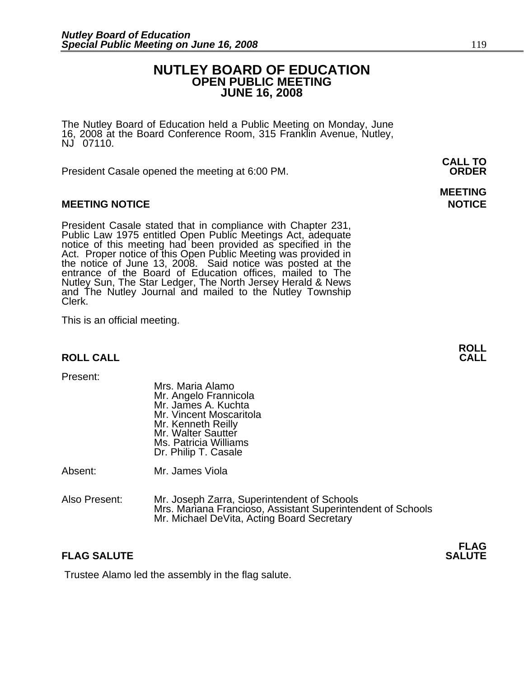### **NUTLEY BOARD OF EDUCATION OPEN PUBLIC MEETING JUNE 16, 2008**

The Nutley Board of Education held a Public Meeting on Monday, June 16, 2008 at the Board Conference Room, 315 Franklin Avenue, Nutley, NJ 07110.

President Casale opened the meeting at 6:00 PM. **ORDER**

#### **MEETING NOTICE NOTICE REPORTS AND ALCOHOL**

President Casale stated that in compliance with Chapter 231,<br>Public Law 1975 entitled Open Public Meetings Act, adequate<br>notice of this meeting had been provided as specified in the<br>Act. Proper notice of this Open Public M the notice of June 13, 2008. Said notice was posted at the<br>entrance of the Board of Education offices, mailed to The Nutley Sun, The Star Ledger, The North Jersey Herald & News and The Nutley Journal and mailed to the Nutley Township Clerk.

This is an official meeting.

### **ROLL ROLL CALL CALL**

Mrs. Maria Alamo<br>Mr. Angelo Frannicola Mr. James A. Kuchta Mr. Vincent Moscaritola Mr. Kenneth Reilly Mr. Walter Sautter Ms. Patricia Williams Dr. Philip T. Casale

Absent: Mr. James Viola

Also Present: Mr. Joseph Zarra, Superintendent of Schools Mrs. Mariana Francioso, Assistant Superintendent of Schools Mr. Michael DeVita, Acting Board Secretary

### **FLAG SALUTE** SALUTE SALUTE SALUTE SALUTE SALUTE

Trustee Alamo led the assembly in the flag salute.

**CALL TO** 

# **MEETING**

**FLAG**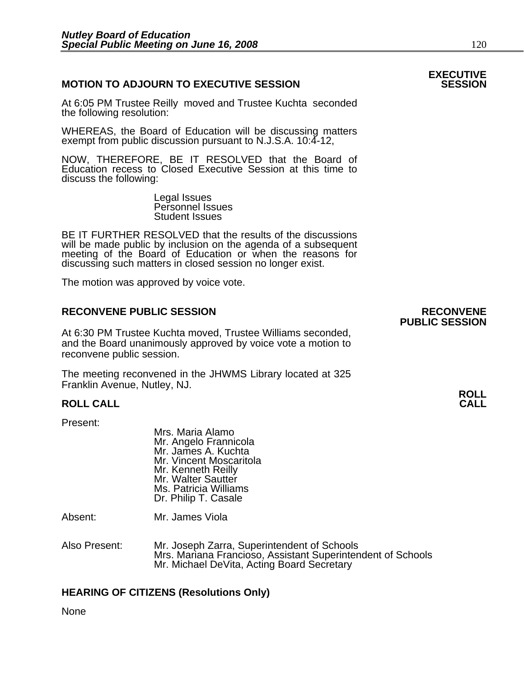#### **MOTION TO ADJOURN TO EXECUTIVE SESSION**

At 6:05 PM Trustee Reilly moved and Trustee Kuchta seconded the following resolution:

WHEREAS, the Board of Education will be discussing matters exempt from public discussion pursuant to N.J.S.A. 10:4-12,

NOW, THEREFORE, BE IT RESOLVED that the Board of Education recess to Closed Executive Session at this time to discuss the following:

> Legal Issues Personnel Issues Student Issues

BE IT FURTHER RESOLVED that the results of the discussions will be made public by inclusion on the agenda of a subsequent meeting of the Board of Education or when the reasons for discussing such matters in closed session no longer exist.

The motion was approved by voice vote.

#### **RECONVENE PUBLIC SESSION RECONVENE**

At 6:30 PM Trustee Kuchta moved, Trustee Williams seconded, and the Board unanimously approved by voice vote a motion to reconvene public session.

The meeting reconvened in the JHWMS Library located at 325 Franklin Avenue, Nutley, NJ.

### **ROLL ROLL CALL CALL**

Present:

Mrs. Maria Alamo Mr. Angelo Frannicola Mr. James A. Kuchta Mr. Vincent Moscaritola Mr. Kenneth Reilly Mr. Walter Sautter Ms. Patricia Williams Dr. Philip T. Casale

Absent: Mr. James Viola

Also Present: Mr. Joseph Zarra, Superintendent of Schools Mrs. Mariana Francioso, Assistant Superintendent of Schools Mr. Michael DeVita, Acting Board Secretary

#### **HEARING OF CITIZENS (Resolutions Only)**

None

## **PUBLIC SESSION**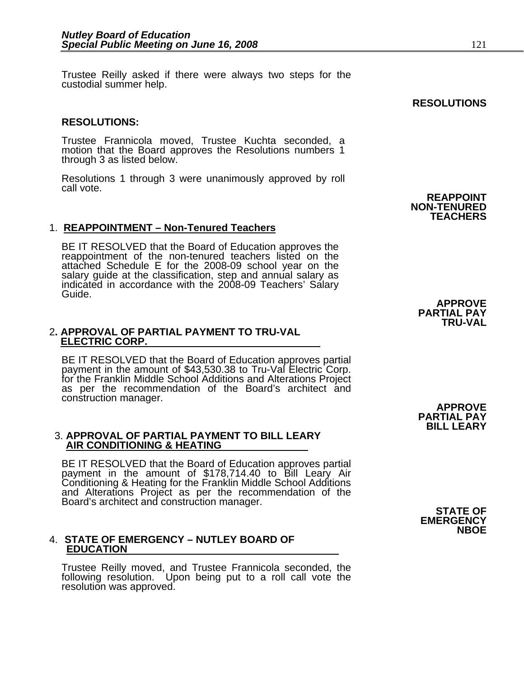Trustee Reilly asked if there were always two steps for the custodial summer help.

#### **RESOLUTIONS:**

Trustee Frannicola moved, Trustee Kuchta seconded, a motion that the Board approves the Resolutions numbers 1 through 3 as listed below.

Resolutions 1 through 3 were unanimously approved by roll call vote.

#### 1. **REAPPOINTMENT – Non-Tenured Teachers**

BE IT RESOLVED that the Board of Education approves the reappointment of the non-tenured teachers listed on the attached Schedule E for the 2008-09 school year on the salary guide at the classification, step and annual salary as indicated in accordance with the 2008-09 Teachers' Salary Guide.

#### 2**. APPROVAL OF PARTIAL PAYMENT TO TRU-VAL ELECTRIC CORP.**

BE IT RESOLVED that the Board of Education approves partial payment in the amount of \$43,530.38 to Tru-Val Electric Corp. for the Franklin Middle School Additions and Alterations Project as per the recommendation of the Board's architect and construction manager. **APPROVE** 

### 3. **APPROVAL OF PARTIAL PAYMENT TO BILL LEARY AIR CONDITIONING & HEATING**

BE IT RESOLVED that the Board of Education approves partial payment in the amount of \$178,714.40 to Bill Leary Air Conditioning & Heating for the Franklin Middle School Additions and Alterations Project as per the recommendation of the Board's architect and construction manager. **STATE OF** 

## 4. **STATE OF EMERGENCY – NUTLEY BOARD OF EDUCATION**

Trustee Reilly moved, and Trustee Frannicola seconded, the following resolution. Upon being put to a roll call vote the resolution was approved.

**APPROVE PARTIAL PAY TRU-VAL** 

**PARTIAL PAY BILL LEARY** 

**EMERGENCY NBOE** 



**REAPPOINT NON-TENURED TEACHERS**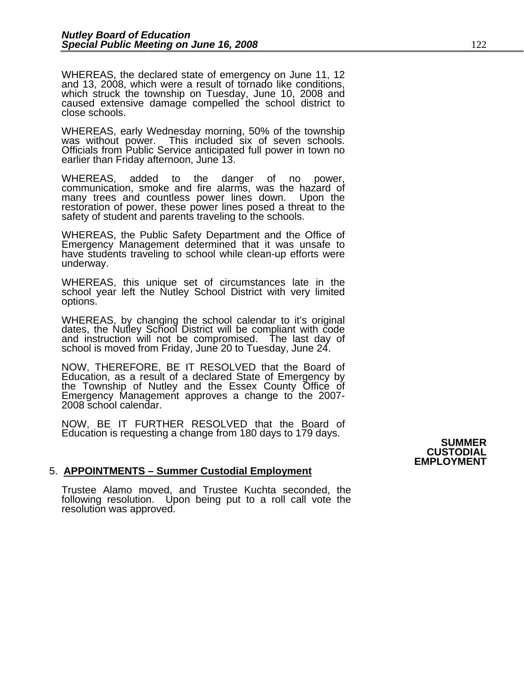WHEREAS, the declared state of emergency on June 11, 12 and 13, 2008, which were a result of tornado like conditions, which struck the township on Tuesday, June 10, 2008 and caused extensive damage compelled the school district to close schools.

WHEREAS, early Wednesday morning, 50% of the township was without power. This included six of seven schools. Officials from Public Service anticipated full power in town no earlier than Friday afternoon, June 13.

WHEREAS, added to the danger of no power, communication, smoke and fire alarms, was the hazard of many trees and countless power lines down. Upon the restoration of power, these power lines posed a threat to the safety of student and parents traveling to the schools.

WHEREAS, the Public Safety Department and the Office of Emergency Management determined that it was unsafe to have students traveling to school while clean-up efforts were underway.

WHEREAS, this unique set of circumstances late in the school year left the Nutley School District with very limited options.

WHEREAS, by changing the school calendar to it's original dates, the Nutley School District will be compliant with code and instruction will not be compromised. The last day of school is moved from Friday, June 20 to Tuesd

NOW, THEREFORE, BE IT RESOLVED that the Board of the Township of Nutley and the Essex County Office of Emergency Management approves a change to the 2007-<br>2008 school calendar.

NOW, BE IT FURTHER RESOLVED that the Board of Education is requesting a change from 180 days to 179 days. **SUMMER** 

#### 5. **APPOINTMENTS – Summer Custodial Employment**

Trustee Alamo moved, and Trustee Kuchta seconded, the following resolution. Upon being put to a roll call vote the resolution was approved.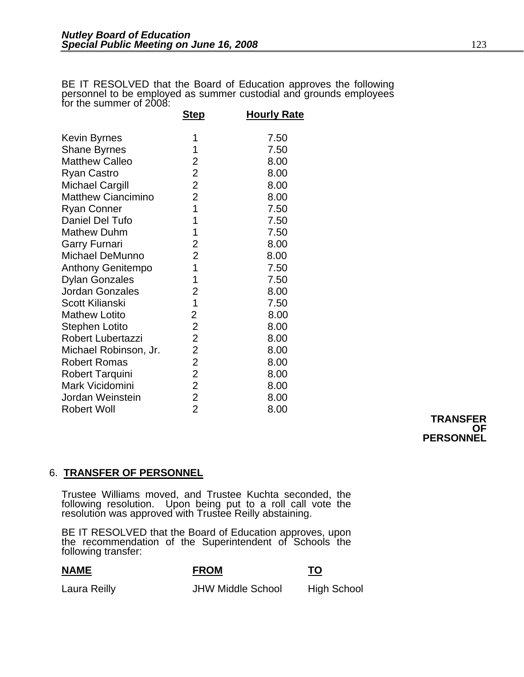BE IT RESOLVED that the Board of Education approves the following<br>personnel to be employed as summer custodial and grounds employees for the summer of 2008:

|                           | <b>Step</b>    | <b>Hourly Rate</b> |
|---------------------------|----------------|--------------------|
| Kevin Byrnes              | 1              | 7.50               |
| <b>Shane Byrnes</b>       | 1              | 7.50               |
| <b>Matthew Calleo</b>     | 2              | 8.00               |
|                           | $\overline{2}$ |                    |
| Ryan Castro               |                | 8.00               |
| Michael Cargill           | $\overline{2}$ | 8.00               |
| <b>Matthew Ciancimino</b> | $\overline{2}$ | 8.00               |
| <b>Ryan Conner</b>        | 1              | 7.50               |
| Daniel Del Tufo           | 1              | 7.50               |
| <b>Mathew Duhm</b>        | 1              | 7.50               |
| Garry Furnari             | 2              | 8.00               |
| Michael DeMunno           | $\overline{2}$ | 8.00               |
| <b>Anthony Genitempo</b>  | 1              | 7.50               |
| <b>Dylan Gonzales</b>     | 1              | 7.50               |
| <b>Jordan Gonzales</b>    | $\overline{2}$ | 8.00               |
| Scott Kilianski           | 1              | 7.50               |
| <b>Mathew Lotito</b>      | 2              | 8.00               |
| Stephen Lotito            | $\overline{2}$ | 8.00               |
| Robert Lubertazzi         | $\overline{2}$ | 8.00               |
| Michael Robinson, Jr.     | $\overline{2}$ | 8.00               |
| <b>Robert Romas</b>       | $\overline{2}$ | 8.00               |
| <b>Robert Tarquini</b>    | $\overline{2}$ | 8.00               |
| Mark Vicidomini           | $\overline{2}$ | 8.00               |
| Jordan Weinstein          | $\overline{2}$ | 8.00               |
| <b>Robert Woll</b>        | $\overline{2}$ | 8.00               |

**TRANSFER OF PERSONNEL** 

### 6. **TRANSFER OF PERSONNEL**

Trustee Williams moved, and Trustee Kuchta seconded, the following resolution. Upon being put to a roll call vote the resolution was approved with Trustee Reilly abstaining.

BE IT RESOLVED that the Board of Education approves, upon the recommendation of the Superintendent of Schools the following transfer:

**NAME FROM TO**

Laura Reilly **Contract Contract Contract JHW Middle School** High School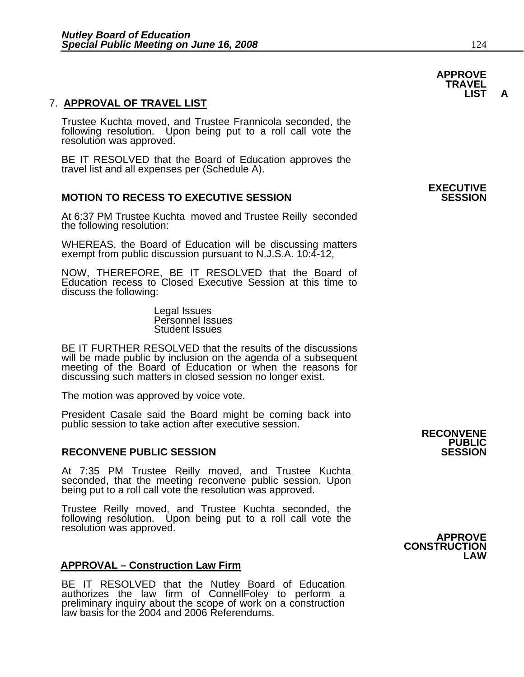#### 7. **APPROVAL OF TRAVEL LIST**

Trustee Kuchta moved, and Trustee Frannicola seconded, the following resolution. Upon being put to a roll call vote the resolution was approved.

BE IT RESOLVED that the Board of Education approves the travel list and all expenses per (Schedule A).

#### **MOTION TO RECESS TO EXECUTIVE SESSION**

At 6:37 PM Trustee Kuchta moved and Trustee Reilly seconded the following resolution:

WHEREAS, the Board of Education will be discussing matters exempt from public discussion pursuant to N.J.S.A. 10:4-12,

NOW, THEREFORE, BE IT RESOLVED that the Board of Education recess to Closed Executive Session at this time to discuss the following:

> Legal Issues Personnel Issues Student Issues

BE IT FURTHER RESOLVED that the results of the discussions will be made public by inclusion on the agenda of a subsequent meeting of the Board of Education or when the reasons for discussing such matters in closed session no longer exist.

The motion was approved by voice vote.

President Casale said the Board might be coming back into public session to take action after executive session. **RECONVENE RECONVENE** 

#### **RECONVENE PUBLIC SESSION**

At 7:35 PM Trustee Reilly moved, and Trustee Kuchta seconded, that the meeting reconvene public session. Upon being put to a roll call vote the resolution was approved.

Trustee Reilly moved, and Trustee Kuchta seconded, the following resolution. Upon being put to a roll call vote the resolution was approved.

#### **LAW APPROVAL – Construction Law Firm**

BE IT RESOLVED that the Nutley Board of Education authorizes the law firm of ConnellFoley to perform a preliminary inquiry about the scope of work on a construction law basis for the 2004 and 2006 Referendums.

**APPROVE CONSTRUCTION** 

**APPROVE TRAVEL LIST A** 

## **EXECUTIVE**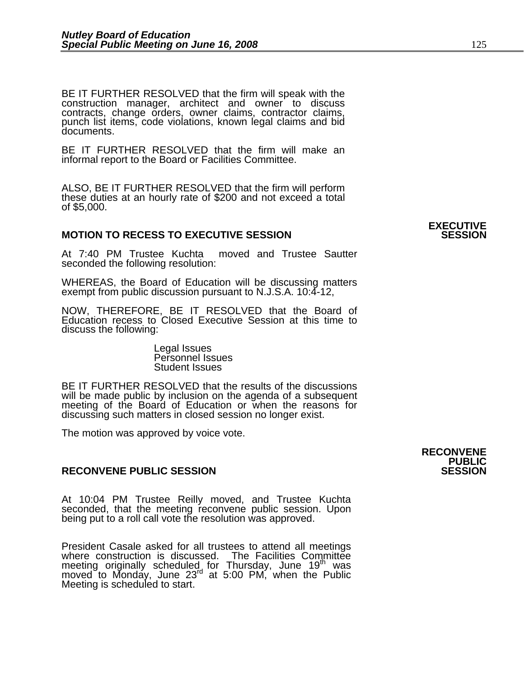BE IT FURTHER RESOLVED that the firm will speak with the construction manager, architect and owner to discuss contracts, change orders, owner claims, contractor claims, punch list items, code violations, known legal claims and bid documents.

BE IT FURTHER RESOLVED that the firm will make an informal report to the Board or Facilities Committee.

ALSO, BE IT FURTHER RESOLVED that the firm will perform these duties at an hourly rate of \$200 and not exceed a total of \$5,000.

#### **MOTION TO RECESS TO EXECUTIVE SESSION**

At 7:40 PM Trustee Kuchta moved and Trustee Sautter seconded the following resolution:

WHEREAS, the Board of Education will be discussing matters exempt from public discussion pursuant to N.J.S.A. 10:4-12,

NOW, THEREFORE, BE IT RESOLVED that the Board of Education recess to Closed Executive Session at this time to discuss the following:

> Legal Issues Personnel Issues Student Issues

BE IT FURTHER RESOLVED that the results of the discussions will be made public by inclusion on the agenda of a subsequent meeting of the Board of Education or when the reasons for discussing such matters in closed session no longer exist.

 The motion was approved by voice vote.

#### **RECONVENE PUBLIC SESSION**

At 10:04 PM Trustee Reilly moved, and Trustee Kuchta seconded, that the meeting reconvene public session. Upon being put to a roll call vote the resolution was approved.

President Casale asked for all trustees to attend all meetings where construction is discussed. The Facilities Committee meeting originally scheduled for Thursday, June 19<sup>th</sup> was moved to Monday, June 23<sup>rd</sup> at 5:00 PM, when the Public Meeting is scheduled to start.

**EXECUTIVE**